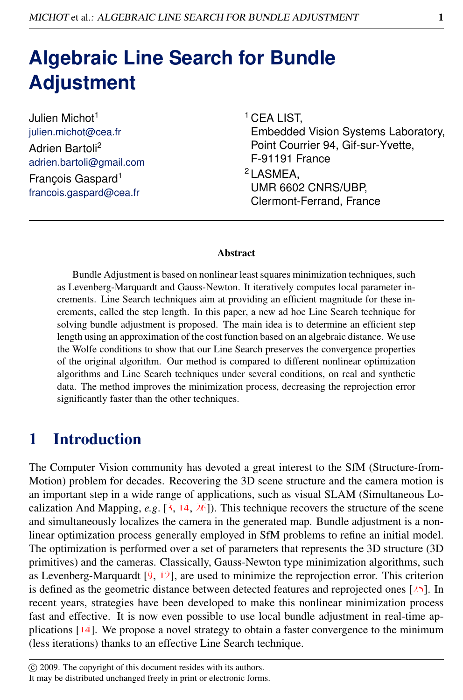# **Algebraic Line Search for Bundle Adjustment**

Julien Michot<sup>1</sup> julien.michot@cea.fr Adrien Bartoli<sup>2</sup> adrien.bartoli@gmail.com François Gaspard<sup>1</sup> francois.gaspard@cea.fr

<sup>1</sup> CEA LIST, Embedded Vision Systems Laboratory, Point Courrier 94, Gif-sur-Yvette, F-91191 France <sup>2</sup> LASMEA,

UMR 6602 CNRS/UBP, Clermont-Ferrand, France

#### **Abstract**

Bundle Adjustment is based on nonlinear least squares minimization techniques, such as Levenberg-Marquardt and Gauss-Newton. It iteratively computes local parameter increments. Line Search techniques aim at providing an efficient magnitude for these increments, called the step length. In this paper, a new ad hoc Line Search technique for solving bundle adjustment is proposed. The main idea is to determine an efficient step length using an approximation of the cost function based on an algebraic distance. We use the Wolfe conditions to show that our Line Search preserves the convergence properties of the original algorithm. Our method is compared to different nonlinear optimization algorithms and Line Search techniques under several conditions, on real and synthetic data. The method improves the minimization process, decreasing the reprojection error significantly faster than the other techniques.

# 1 Introduction

The Computer Vision community has devoted a great interest to the SfM (Structure-from-Motion) problem for decades. Recovering the 3D scene structure and the camera motion is an important step in a wide range of applications, such as visual SLAM (Simultaneous Localization And Mapping, *e.g*. [3, 14, 26]). This technique recovers the structure of the scene and simultaneously localizes the camera in the generated map. Bundle adjustment is a nonlinear optimization process generally employed in SfM problems to refine an initial model. The optimization is performed over a set of parameters that represents the 3D structure (3D primitives) and the cameras. Classically, Gauss-Newton type minimization algorithms, such as Levenberg-Marquardt  $[9, 12]$ , are used to minimize the reprojection error. This criterion is defined as the geometric distance between detected features and reprojected ones  $[25]$ . In recent years, strategies have been developed to make this nonlinear minimization process fast and effective. It is now even possible to use local bundle adjustment in real-time applications  $[14]$ . We propose a novel strategy to obtain a faster convergence to the minimum (less iterations) thanks to an effective Line Search technique.

c 2009. The copyright of this document resides with its authors.

It may be distributed unchanged freely in print or electronic forms.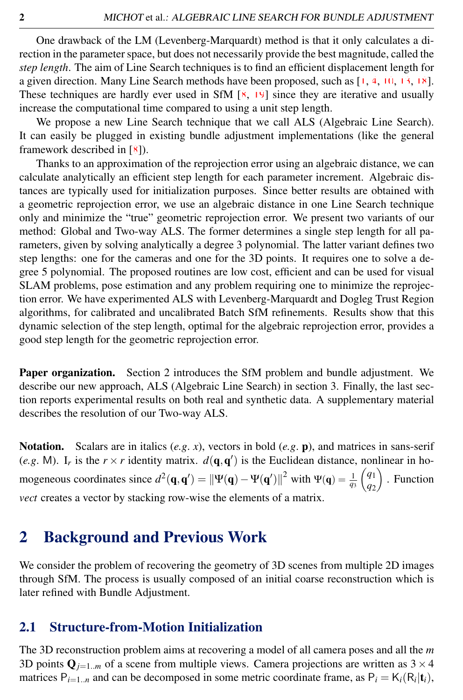One drawback of the LM (Levenberg-Marquardt) method is that it only calculates a direction in the parameter space, but does not necessarily provide the best magnitude, called the *step length*. The aim of Line Search techniques is to find an efficient displacement length for a given direction. Many Line Search methods have been proposed, such as [1, 4, 10, 13, 18]. These techniques are hardly ever used in SfM  $[8, 19]$  since they are iterative and usually increase the computational time compared to using a unit step length.

We propose a new Line Search technique that we call ALS (Algebraic Line Search). It can easily be plugged in existing bundle adjustment implementations (like the general framework described in [8]).

Thanks to an approximation of the reprojection error using an algebraic distance, we can calculate analytically an efficient step length for each parameter increment. Algebraic distances are typically used for initialization purposes. Since better results are obtained with a geometric reprojection error, we use an algebraic distance in one Line Search technique only and minimize the "true" geometric reprojection error. We present two variants of our method: Global and Two-way ALS. The former determines a single step length for all parameters, given by solving analytically a degree 3 polynomial. The latter variant defines two step lengths: one for the cameras and one for the 3D points. It requires one to solve a degree 5 polynomial. The proposed routines are low cost, efficient and can be used for visual SLAM problems, pose estimation and any problem requiring one to minimize the reprojection error. We have experimented ALS with Levenberg-Marquardt and Dogleg Trust Region algorithms, for calibrated and uncalibrated Batch SfM refinements. Results show that this dynamic selection of the step length, optimal for the algebraic reprojection error, provides a good step length for the geometric reprojection error.

Paper organization. Section 2 introduces the SfM problem and bundle adjustment. We describe our new approach, ALS (Algebraic Line Search) in section 3. Finally, the last section reports experimental results on both real and synthetic data. A supplementary material describes the resolution of our Two-way ALS.

Notation. Scalars are in italics (*e.g*. *x*), vectors in bold (*e.g*. p), and matrices in sans-serif (*e.g.* M). I<sub>r</sub> is the  $r \times r$  identity matrix.  $d(\mathbf{q}, \mathbf{q}')$  is the Euclidean distance, nonlinear in homogeneous coordinates since  $d^2(\mathbf{q}, \mathbf{q}') = ||\Psi(\mathbf{q}) - \Psi(\mathbf{q}')||^2$  with  $\Psi(\mathbf{q}) = \frac{1}{q_3}$  $\int q_1$ *q*2 . Function *vect* creates a vector by stacking row-wise the elements of a matrix.

# 2 Background and Previous Work

We consider the problem of recovering the geometry of 3D scenes from multiple 2D images through SfM. The process is usually composed of an initial coarse reconstruction which is later refined with Bundle Adjustment.

### <span id="page-1-0"></span>2.1 Structure-from-Motion Initialization

The 3D reconstruction problem aims at recovering a model of all camera poses and all the *m* 3D points  $\mathbf{Q}_{j=1..m}$  of a scene from multiple views. Camera projections are written as  $3 \times 4$ matrices  $P_{i=1..n}$  and can be decomposed in some metric coordinate frame, as  $P_i = K_i(R_i|t_i)$ ,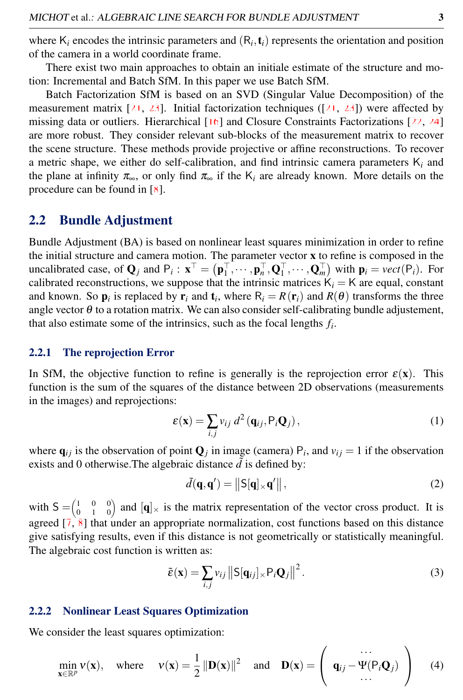where  $K_i$  encodes the intrinsic parameters and  $(R_i, t_i)$  represents the orientation and position of the camera in a world coordinate frame.

There exist two main approaches to obtain an initiale estimate of the structure and motion: Incremental and Batch SfM. In this paper we use Batch SfM.

Batch Factorization SfM is based on an SVD (Singular Value Decomposition) of the measurement matrix  $[21, 23]$ . Initial factorization techniques ( $[21, 23]$ ) were affected by missing data or outliers. Hierarchical [16] and Closure Constraints Factorizations [22, 24] are more robust. They consider relevant sub-blocks of the measurement matrix to recover the scene structure. These methods provide projective or affine reconstructions. To recover a metric shape, we either do self-calibration, and find intrinsic camera parameters  $K_i$  and the plane at infinity  $\pi_{\infty}$ , or only find  $\pi_{\infty}$  if the K<sub>i</sub> are already known. More details on the procedure can be found in  $[8]$ .

### 2.2 Bundle Adjustment

Bundle Adjustment (BA) is based on nonlinear least squares minimization in order to refine the initial structure and camera motion. The parameter vector x to refine is composed in the uncalibrated case, of  $Q_j$  and  $P_i$ :  $\mathbf{x}^{\top} = (\mathbf{p}_1^{\top}, \cdots, \mathbf{p}_n^{\top}, Q_1^{\top}, \cdots, Q_m^{\top})$  with  $\mathbf{p}_i = \text{vect}(P_i)$ . For calibrated reconstructions, we suppose that the intrinsic matrices  $K_i = K$  are equal, constant and known. So  $\mathbf{p}_i$  is replaced by  $\mathbf{r}_i$  and  $\mathbf{t}_i$ , where  $R_i = R(\mathbf{r}_i)$  and  $R(\theta)$  transforms the three angle vector  $\theta$  to a rotation matrix. We can also consider self-calibrating bundle adjustement, that also estimate some of the intrinsics, such as the focal lengths *f<sup>i</sup>* .

#### 2.2.1 The reprojection Error

In SfM, the objective function to refine is generally is the reprojection error  $\varepsilon(\mathbf{x})$ . This function is the sum of the squares of the distance between 2D observations (measurements in the images) and reprojections:

$$
\varepsilon(\mathbf{x}) = \sum_{i,j} v_{ij} d^2 (\mathbf{q}_{ij}, \mathbf{P}_i \mathbf{Q}_j),
$$
 (1)

where  $\mathbf{q}_{ij}$  is the observation of point  $\mathbf{Q}_j$  in image (camera)  $P_i$ , and  $v_{ij} = 1$  if the observation exists and 0 otherwise. The algebraic distance  $\tilde{d}$  is defined by:

$$
\tilde{d}(\mathbf{q}, \mathbf{q}') = \|\mathsf{S}[\mathbf{q}] \times \mathbf{q}'\|,\tag{2}
$$

with  $S = \begin{pmatrix} 1 & 0 & 0 \\ 0 & 1 & 0 \end{pmatrix}$  and  $[q]_{\times}$  is the matrix representation of the vector cross product. It is agreed  $[\overline{7}, \overline{8}]$  that under an appropriate normalization, cost functions based on this distance give satisfying results, even if this distance is not geometrically or statistically meaningful. The algebraic cost function is written as:

<span id="page-2-0"></span>
$$
\tilde{\varepsilon}(\mathbf{x}) = \sum_{i,j} v_{ij} ||S[\mathbf{q}_{ij}]_{\times} P_i \mathbf{Q}_j||^2.
$$
 (3)

#### 2.2.2 Nonlinear Least Squares Optimization

We consider the least squares optimization:

$$
\min_{\mathbf{x} \in \mathbb{R}^p} v(\mathbf{x}), \quad \text{where} \quad v(\mathbf{x}) = \frac{1}{2} \|\mathbf{D}(\mathbf{x})\|^2 \quad \text{and} \quad \mathbf{D}(\mathbf{x}) = \left(\begin{array}{c} \dots \\ \mathbf{q}_{ij} - \Psi(\mathsf{P}_i \mathbf{Q}_j) \\ \dots \end{array}\right) \tag{4}
$$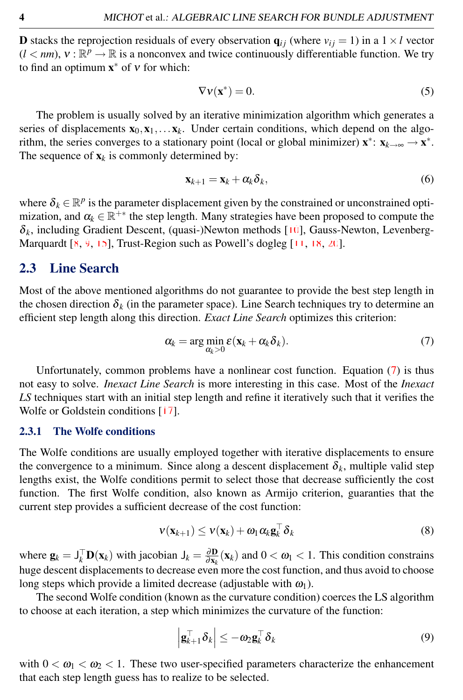**D** stacks the reprojection residuals of every observation  $q_{ij}$  (where  $v_{ij} = 1$ ) in a  $1 \times l$  vector  $(l < nm)$ ,  $v : \mathbb{R}^p \to \mathbb{R}$  is a nonconvex and twice continuously differentiable function. We try to find an optimum  $x^*$  of v for which:

$$
\nabla v(\mathbf{x}^*) = 0. \tag{5}
$$

The problem is usually solved by an iterative minimization algorithm which generates a series of displacements  $x_0, x_1, \ldots x_k$ . Under certain conditions, which depend on the algorithm, the series converges to a stationary point (local or global minimizer)  $\mathbf{x}^*$ :  $\mathbf{x}_{k\to\infty} \to \mathbf{x}^*$ . The sequence of  $\mathbf{x}_k$  is commonly determined by:

<span id="page-3-1"></span>
$$
\mathbf{x}_{k+1} = \mathbf{x}_k + \alpha_k \delta_k,\tag{6}
$$

where  $\delta_k \in \mathbb{R}^p$  is the parameter displacement given by the constrained or unconstrained optimization, and  $\alpha_k \in \mathbb{R}^{+*}$  the step length. Many strategies have been proposed to compute the  $\delta_k$ , including Gradient Descent, (quasi-)Newton methods [10], Gauss-Newton, Levenberg-Marquardt [8, 9, 15], Trust-Region such as Powell's dogleg [11, 18, 20].

### 2.3 Line Search

Most of the above mentioned algorithms do not guarantee to provide the best step length in the chosen direction  $\delta_k$  (in the parameter space). Line Search techniques try to determine an efficient step length along this direction. *Exact Line Search* optimizes this criterion:

<span id="page-3-0"></span>
$$
\alpha_k = \arg\min_{\alpha_k > 0} \varepsilon(\mathbf{x}_k + \alpha_k \delta_k). \tag{7}
$$

Unfortunately, common problems have a nonlinear cost function. Equation [\(7\)](#page-3-0) is thus not easy to solve. *Inexact Line Search* is more interesting in this case. Most of the *Inexact LS* techniques start with an initial step length and refine it iteratively such that it verifies the Wolfe or Goldstein conditions [17].

#### 2.3.1 The Wolfe conditions

The Wolfe conditions are usually employed together with iterative displacements to ensure the convergence to a minimum. Since along a descent displacement  $\delta_k$ , multiple valid step lengths exist, the Wolfe conditions permit to select those that decrease sufficiently the cost function. The first Wolfe condition, also known as Armijo criterion, guaranties that the current step provides a sufficient decrease of the cost function:

$$
\mathbf{v}(\mathbf{x}_{k+1}) \leq \mathbf{v}(\mathbf{x}_k) + \boldsymbol{\omega}_1 \boldsymbol{\alpha}_k \mathbf{g}_k^\top \boldsymbol{\delta}_k \tag{8}
$$

where  $\mathbf{g}_k = \mathbf{J}_k^{\top} \mathbf{D}(\mathbf{x}_k)$  with jacobian  $\mathbf{J}_k = \frac{\partial \mathbf{D}}{\partial \mathbf{x}_k}(\mathbf{x}_k)$  and  $0 < \omega_1 < 1$ . This condition constrains huge descent displacements to decrease even more the cost function, and thus avoid to choose long steps which provide a limited decrease (adjustable with  $\omega_1$ ).

The second Wolfe condition (known as the curvature condition) coerces the LS algorithm to choose at each iteration, a step which minimizes the curvature of the function:

$$
\left| \mathbf{g}_{k+1}^{\top} \boldsymbol{\delta}_k \right| \leq -\omega_2 \mathbf{g}_k^{\top} \boldsymbol{\delta}_k \tag{9}
$$

with  $0 < \omega_1 < \omega_2 < 1$ . These two user-specified parameters characterize the enhancement that each step length guess has to realize to be selected.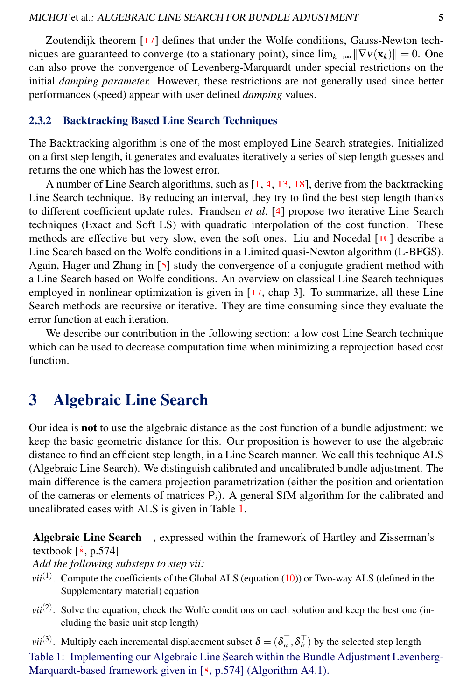Zoutendijk theorem [17] defines that under the Wolfe conditions, Gauss-Newton techniques are guaranteed to converge (to a stationary point), since  $\lim_{k\to\infty} \|\nabla v(\mathbf{x}_k)\| = 0$ . One can also prove the convergence of Levenberg-Marquardt under special restrictions on the initial *damping parameter.* However, these restrictions are not generally used since better performances (speed) appear with user defined *damping* values.

#### 2.3.2 Backtracking Based Line Search Techniques

The Backtracking algorithm is one of the most employed Line Search strategies. Initialized on a first step length, it generates and evaluates iteratively a series of step length guesses and returns the one which has the lowest error.

A number of Line Search algorithms, such as [1, 4, 13, 18], derive from the backtracking Line Search technique. By reducing an interval, they try to find the best step length thanks to different coefficient update rules. Frandsen *et al*. [4] propose two iterative Line Search techniques (Exact and Soft LS) with quadratic interpolation of the cost function. These methods are effective but very slow, even the soft ones. Liu and Nocedal [10] describe a Line Search based on the Wolfe conditions in a Limited quasi-Newton algorithm (L-BFGS). Again, Hager and Zhang in [5] study the convergence of a conjugate gradient method with a Line Search based on Wolfe conditions. An overview on classical Line Search techniques employed in nonlinear optimization is given in  $[17,$  chap 3]. To summarize, all these Line Search methods are recursive or iterative. They are time consuming since they evaluate the error function at each iteration.

We describe our contribution in the following section: a low cost Line Search technique which can be used to decrease computation time when minimizing a reprojection based cost function.

# <span id="page-4-1"></span>3 Algebraic Line Search

Our idea is **not** to use the algebraic distance as the cost function of a bundle adjustment: we keep the basic geometric distance for this. Our proposition is however to use the algebraic distance to find an efficient step length, in a Line Search manner. We call this technique ALS (Algebraic Line Search). We distinguish calibrated and uncalibrated bundle adjustment. The main difference is the camera projection parametrization (either the position and orientation of the cameras or elements of matrices  $P_i$ ). A general SfM algorithm for the calibrated and uncalibrated cases with ALS is given in Table [1.](#page-4-0)

Algebraic Line Search , expressed within the framework of Hartley and Zisserman's textbook  $[8, p.574]$ 

*Add the following substeps to step vii:*

- <span id="page-4-0"></span> $vi^{(1)}$ . Compute the coefficients of the Global ALS (equation  $(10)$ ) or Two-way ALS (defined in the Supplementary material) equation
- $vi^{(2)}$ . Solve the equation, check the Wolfe conditions on each solution and keep the best one (including the basic unit step length)

*vii*<sup>(3)</sup>. Multiply each incremental displacement subset  $\delta = (\delta_a^{\top}, \delta_b^{\top})$  by the selected step length

Table 1: Implementing our Algebraic Line Search within the Bundle Adjustment Levenberg-Marquardt-based framework given in [8, p.574] (Algorithm A4.1).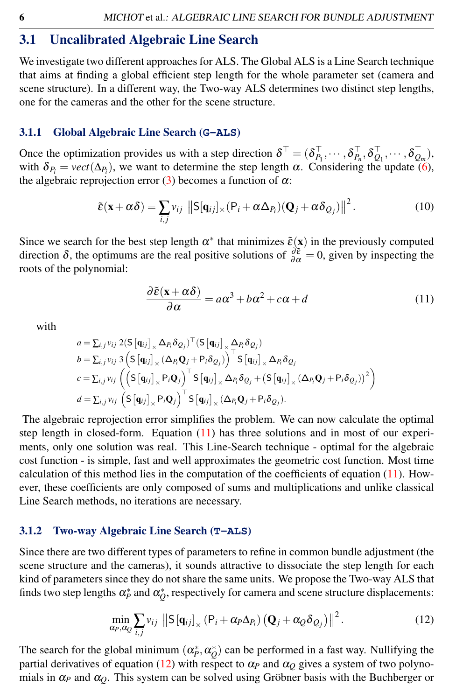### 3.1 Uncalibrated Algebraic Line Search

We investigate two different approaches for ALS. The Global ALS is a Line Search technique that aims at finding a global efficient step length for the whole parameter set (camera and scene structure). In a different way, the Two-way ALS determines two distinct step lengths, one for the cameras and the other for the scene structure.

#### 3.1.1 Global Algebraic Line Search (**G-ALS**)

Once the optimization provides us with a step direction  $\delta^{\top} = (\delta_{P_1}^{\top}, \dots, \delta_{P_n}^{\top}, \delta_{Q_1}^{\top}, \dots, \delta_{Q_m}^{\top})$ , with  $\delta_{P_i} = \text{vect}(\Delta_{P_i})$ , we want to determine the step length  $\alpha$ . Considering the update [\(6\)](#page-3-1), the algebraic reprojection error [\(3\)](#page-2-0) becomes a function of  $\alpha$ :

$$
\tilde{\varepsilon}(\mathbf{x} + \alpha \delta) = \sum_{i,j} v_{ij} \, \left\| \mathsf{S}[\mathbf{q}_{ij}]_{\times} (\mathsf{P}_i + \alpha \Delta_{P_i}) (\mathbf{Q}_j + \alpha \delta_{Q_j}) \right\|^2.
$$
 (10)

Since we search for the best step length  $\alpha^*$  that minimizes  $\tilde{\varepsilon}(\mathbf{x})$  in the previously computed direction  $\delta$ , the optimums are the real positive solutions of  $\frac{\partial \tilde{\varepsilon}}{\partial \alpha} = 0$ , given by inspecting the roots of the polynomial:

<span id="page-5-1"></span><span id="page-5-0"></span>
$$
\frac{\partial \tilde{\varepsilon}(\mathbf{x} + \alpha \delta)}{\partial \alpha} = a\alpha^3 + b\alpha^2 + c\alpha + d \tag{11}
$$

with

$$
a = \sum_{i,j} v_{ij} 2(S [\mathbf{q}_{ij}]_{\times} \Delta_{P_i} \delta_{Q_j})^{\top} (S [\mathbf{q}_{ij}]_{\times} \Delta_{P_i} \delta_{Q_j})
$$
  
\n
$$
b = \sum_{i,j} v_{ij} 3(S [\mathbf{q}_{ij}]_{\times} (\Delta_{P_i} \mathbf{Q}_j + \mathbf{P}_i \delta_{Q_j})^{\top} S [\mathbf{q}_{ij}]_{\times} \Delta_{P_i} \delta_{Q_j}
$$
  
\n
$$
c = \sum_{i,j} v_{ij} \left( (S [\mathbf{q}_{ij}]_{\times} \mathbf{P}_i \mathbf{Q}_j)^{\top} S [\mathbf{q}_{ij}]_{\times} \Delta_{P_i} \delta_{Q_j} + (S [\mathbf{q}_{ij}]_{\times} (\Delta_{P_i} \mathbf{Q}_j + \mathbf{P}_i \delta_{Q_j}))^2 \right)
$$
  
\n
$$
d = \sum_{i,j} v_{ij} (S [\mathbf{q}_{ij}]_{\times} \mathbf{P}_i \mathbf{Q}_j)^{\top} S [\mathbf{q}_{ij}]_{\times} (\Delta_{P_i} \mathbf{Q}_j + \mathbf{P}_i \delta_{Q_j}).
$$

The algebraic reprojection error simplifies the problem. We can now calculate the optimal step length in closed-form. Equation [\(11\)](#page-5-1) has three solutions and in most of our experiments, only one solution was real. This Line-Search technique - optimal for the algebraic cost function - is simple, fast and well approximates the geometric cost function. Most time calculation of this method lies in the computation of the coefficients of equation  $(11)$ . However, these coefficients are only composed of sums and multiplications and unlike classical Line Search methods, no iterations are necessary.

#### 3.1.2 Two-way Algebraic Line Search (**T-ALS**)

Since there are two different types of parameters to refine in common bundle adjustment (the scene structure and the cameras), it sounds attractive to dissociate the step length for each kind of parameters since they do not share the same units. We propose the Two-way ALS that finds two step lengths  $\alpha_p^*$  and  $\alpha_Q^*$ , respectively for camera and scene structure displacements:

$$
\min_{\alpha_P, \alpha_Q} \sum_{i,j} v_{ij} \, \left\| \mathsf{S} \left[ \mathbf{q}_{ij} \right]_{\times} \left( \mathsf{P}_i + \alpha_P \Delta_{P_i} \right) \left( \mathbf{Q}_j + \alpha_Q \delta_{Q_j} \right) \right\|^2. \tag{12}
$$

<span id="page-5-2"></span>The search for the global minimum  $(\alpha_p^*, \alpha_Q^*)$  can be performed in a fast way. Nullifying the partial derivatives of equation [\(12\)](#page-5-2) with respect to  $\alpha_P$  and  $\alpha_Q$  gives a system of two polynomials in  $\alpha_P$  and  $\alpha_O$ . This system can be solved using Gröbner basis with the Buchberger or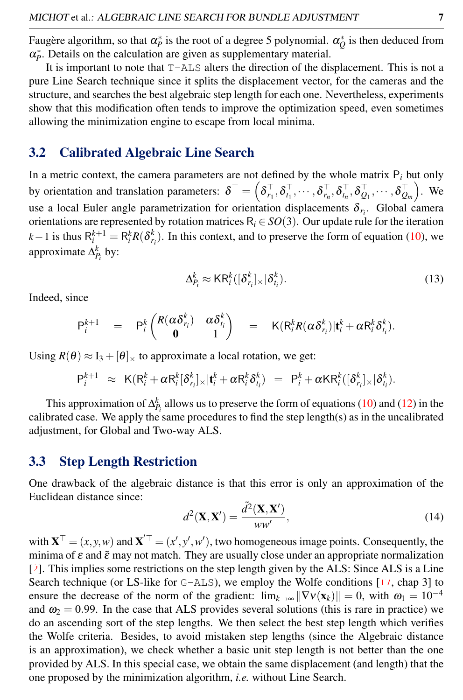Faugère algorithm, so that  $\alpha_p^*$  is the root of a degree 5 polynomial.  $\alpha_Q^*$  is then deduced from  $\alpha_P^*$ . Details on the calculation are given as supplementary material.

It is important to note that T-ALS alters the direction of the displacement. This is not a pure Line Search technique since it splits the displacement vector, for the cameras and the structure, and searches the best algebraic step length for each one. Nevertheless, experiments show that this modification often tends to improve the optimization speed, even sometimes allowing the minimization engine to escape from local minima.

### 3.2 Calibrated Algebraic Line Search

In a metric context, the camera parameters are not defined by the whole matrix  $P_i$  but only by orientation and translation parameters:  $\boldsymbol{\delta}^{\top} = \left(\delta_{r_1}^{\top}, \delta_{r_1}^{\top}, \cdots, \delta_{r_n}^{\top}, \delta_{t_n}^{\top}, \delta_{Q_1}^{\top}, \cdots, \delta_{Q_m}^{\top}\right)$ . We use a local Euler angle parametrization for orientation displacements  $\delta_{r_i}$ . Global camera orientations are represented by rotation matrices  $R_i \in SO(3)$ . Our update rule for the iteration  $k+1$  is thus  $R_i^{k+1} = R_i^k R(\delta_{r_i}^k)$ . In this context, and to preserve the form of equation [\(10\)](#page-5-0), we approximate  $\Delta_{P_i}^k$  by:

$$
\Delta_{P_i}^k \approx \mathsf{KR}_i^k([\delta_{r_i}^k] \times |\delta_{t_i}^k). \tag{13}
$$

Indeed, since

$$
\mathsf{P}_i^{k+1} = \mathsf{P}_i^k \begin{pmatrix} R(\alpha \delta_{r_i}^k) & \alpha \delta_{t_i}^k \\ \mathbf{0} & 1 \end{pmatrix} = \mathsf{K}(\mathsf{R}_i^k R(\alpha \delta_{r_i}^k) | \mathbf{t}_i^k + \alpha \mathsf{R}_i^k \delta_{t_i}^k).
$$

Using  $R(\theta) \approx I_3 + [\theta] \times$  to approximate a local rotation, we get:

$$
\mathsf{P}^{k+1}_i \;\; \approx \;\; \mathsf{K}(\mathsf{R}^k_i + \alpha \mathsf{R}^k_i[\delta^k_{r_i}] \times |\mathbf{t}^k_i + \alpha \mathsf{R}^k_i \delta^k_{t_i}) \;\; = \;\; \mathsf{P}^k_i + \alpha \mathsf{K} \mathsf{R}^k_i([\delta^k_{r_i}] \times |\delta^k_{t_i}).
$$

This approximation of  $\Delta_{P_i}^k$  allows us to preserve the form of equations [\(10\)](#page-5-0) and [\(12\)](#page-5-2) in the calibrated case. We apply the same procedures to find the step length(s) as in the uncalibrated adjustment, for Global and Two-way ALS.

### <span id="page-6-0"></span>3.3 Step Length Restriction

One drawback of the algebraic distance is that this error is only an approximation of the Euclidean distance since:

$$
d^{2}(\mathbf{X}, \mathbf{X}') = \frac{\tilde{d}^{2}(\mathbf{X}, \mathbf{X}')}{ww'},
$$
\n(14)

with  $X^{\top} = (x, y, w)$  and  $X'^{\top} = (x', y', w')$ , two homogeneous image points. Consequently, the minima of  $\varepsilon$  and  $\tilde{\varepsilon}$  may not match. They are usually close under an appropriate normalization  $[2]$ . This implies some restrictions on the step length given by the ALS: Since ALS is a Line Search technique (or LS-like for  $G$ – $ALS$ ), we employ the Wolfe conditions [17, chap 3] to ensure the decrease of the norm of the gradient:  $\lim_{k\to\infty} ||\nabla v(\mathbf{x}_k)|| = 0$ , with  $\omega_1 = 10^{-4}$ and  $\omega_2 = 0.99$ . In the case that ALS provides several solutions (this is rare in practice) we do an ascending sort of the step lengths. We then select the best step length which verifies the Wolfe criteria. Besides, to avoid mistaken step lengths (since the Algebraic distance is an approximation), we check whether a basic unit step length is not better than the one provided by ALS. In this special case, we obtain the same displacement (and length) that the one proposed by the minimization algorithm, *i.e.* without Line Search.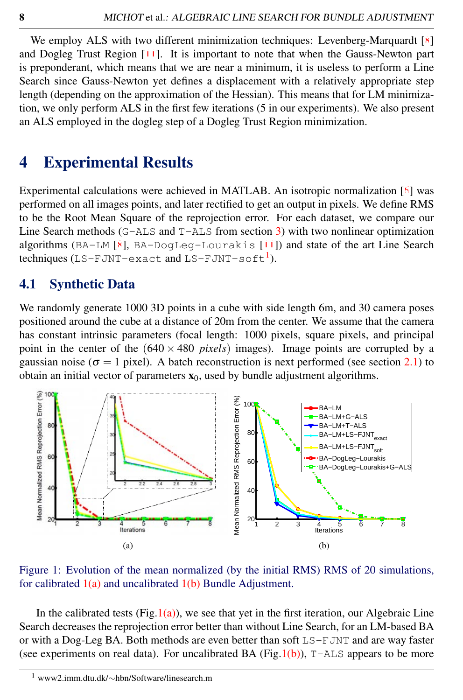We employ ALS with two different minimization techniques: Levenberg-Marquardt [8] and Dogleg Trust Region [11]. It is important to note that when the Gauss-Newton part is preponderant, which means that we are near a minimum, it is useless to perform a Line Search since Gauss-Newton yet defines a displacement with a relatively appropriate step length (depending on the approximation of the Hessian). This means that for LM minimization, we only perform ALS in the first few iterations (5 in our experiments). We also present an ALS employed in the dogleg step of a Dogleg Trust Region minimization.

# 4 Experimental Results

Experimental calculations were achieved in MATLAB. An isotropic normalization [6] was performed on all images points, and later rectified to get an output in pixels. We define RMS to be the Root Mean Square of the reprojection error. For each dataset, we compare our Line Search methods  $(G-ALS \text{ and } T-ALS \text{ from section } 3)$  $(G-ALS \text{ and } T-ALS \text{ from section } 3)$  with two nonlinear optimization algorithms (BA-LM [8], BA-DogLeg-Lourakis [11]) and state of the art Line Search techniques (LS-FJNT-exact and LS-FJNT-soft<sup>[1](#page-7-0)</sup>).

## 4.1 Synthetic Data

We randomly generate 1000 3D points in a cube with side length 6m, and 30 camera poses positioned around the cube at a distance of 20m from the center. We assume that the camera has constant intrinsic parameters (focal length: 1000 pixels, square pixels, and principal point in the center of the  $(640 \times 480 \text{ pixels})$  images). Image points are corrupted by a gaussian noise ( $\sigma = 1$  pixel). A batch reconstruction is next performed (see section [2.1\)](#page-1-0) to obtain an initial vector of parameters  $x_0$ , used by bundle adjustment algorithms.

<span id="page-7-1"></span>

<span id="page-7-2"></span>Figure 1: Evolution of the mean normalized (by the initial RMS) RMS of 20 simulations, for calibrated  $1(a)$  and uncalibrated  $1(b)$  Bundle Adjustment.

In the calibrated tests (Fig[.1\(a\)\)](#page-7-1), we see that yet in the first iteration, our Algebraic Line Search decreases the reprojection error better than without Line Search, for an LM-based BA or with a Dog-Leg BA. Both methods are even better than soft LS-FJNT and are way faster (see experiments on real data). For uncalibrated BA (Fig[.1\(b\)\)](#page-7-2),  $T$ -ALS appears to be more

<span id="page-7-0"></span><sup>1</sup> www2.imm.dtu.dk/∼hbn/Software/linesearch.m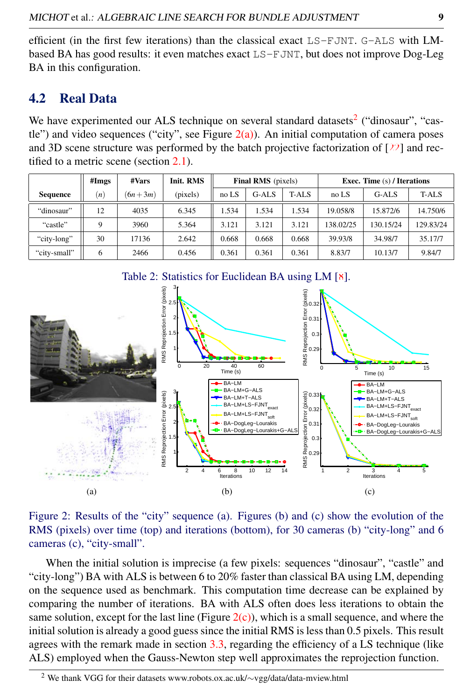efficient (in the first few iterations) than the classical exact LS-FJNT. G-ALS with LMbased BA has good results: it even matches exact LS-FJNT, but does not improve Dog-Leg BA in this configuration.

### 4.2 Real Data

We have experimented our ALS technique on several standard datasets<sup>[2](#page-8-0)</sup> ("dinosaur", "castle") and video sequences ("city", see Figure  $2(a)$ ). An initial computation of camera poses and 3D scene structure was performed by the batch projective factorization of [22] and rectified to a metric scene (section [2.1\)](#page-1-0).

|                 | #Imgs | #Vars       | Init. RMS | <b>Final RMS</b> (pixels) |       |       | <b>Exec. Time (s) / Iterations</b> |          |              |
|-----------------|-------|-------------|-----------|---------------------------|-------|-------|------------------------------------|----------|--------------|
| <b>Sequence</b> | (n)   | $(6n + 3m)$ | (pixels)  | no LS                     | G-ALS | T-ALS | noLS                               | $G-ALS$  | <b>T-ALS</b> |
| "dinosaur"      | 12    | 4035        | 6.345     | .534                      | .534  | 1.534 | 19.058/8                           | 15.872/6 | 14.750/6     |
| "castle"        | Q     | 3960        | 5.364     | 3.121                     | 3.121 | 3.121 | 138.02/25                          | 30.15/24 | 129.83/24    |
| "city-long"     | 30    | 17136       | 2.642     | 0.668                     | 0.668 | 0.668 | 39.93/8                            | 34.98/7  | 35.17/7      |
| "city-small"    | 6     | 2466        | 0.456     | 0.361                     | 0.361 | 0.361 | 8.83/7                             | 10.13/7  | 9.84/7       |

<span id="page-8-1"></span>

<span id="page-8-4"></span><span id="page-8-3"></span><span id="page-8-2"></span>Figure 2: Results of the "city" sequence (a). Figures (b) and (c) show the evolution of the RMS (pixels) over time (top) and iterations (bottom), for 30 cameras (b) "city-long" and 6 cameras (c), "city-small".

When the initial solution is imprecise (a few pixels: sequences "dinosaur", "castle" and "city-long") BA with ALS is between 6 to 20% faster than classical BA using LM, depending on the sequence used as benchmark. This computation time decrease can be explained by comparing the number of iterations. BA with ALS often does less iterations to obtain the same solution, except for the last line (Figure  $2(c)$ ), which is a small sequence, and where the initial solution is already a good guess since the initial RMS is less than 0.5 pixels. This result agrees with the remark made in section  $3.3$ , regarding the efficiency of a LS technique (like ALS) employed when the Gauss-Newton step well approximates the reprojection function.

<span id="page-8-0"></span><sup>2</sup> We thank VGG for their datasets www.robots.ox.ac.uk/∼vgg/data/data-mview.html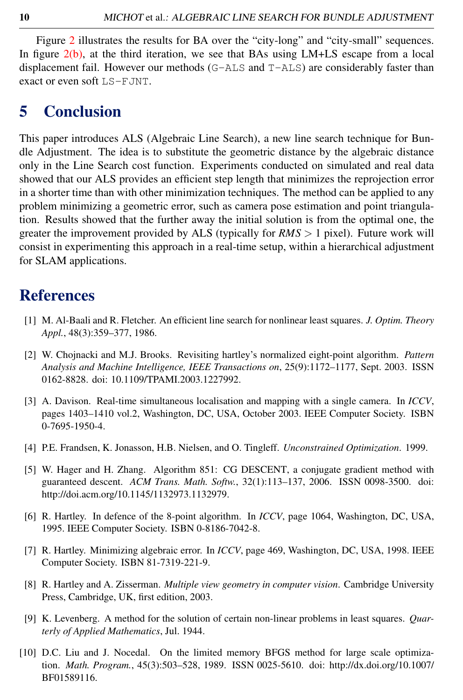Figure [2](#page-8-3) illustrates the results for BA over the "city-long" and "city-small" sequences. In figure [2\(b\),](#page-8-4) at the third iteration, we see that BAs using LM+LS escape from a local displacement fail. However our methods (G-ALS and T-ALS) are considerably faster than exact or even soft LS-FJNT.

# 5 Conclusion

This paper introduces ALS (Algebraic Line Search), a new line search technique for Bundle Adjustment. The idea is to substitute the geometric distance by the algebraic distance only in the Line Search cost function. Experiments conducted on simulated and real data showed that our ALS provides an efficient step length that minimizes the reprojection error in a shorter time than with other minimization techniques. The method can be applied to any problem minimizing a geometric error, such as camera pose estimation and point triangulation. Results showed that the further away the initial solution is from the optimal one, the greater the improvement provided by ALS (typically for *RMS* > 1 pixel). Future work will consist in experimenting this approach in a real-time setup, within a hierarchical adjustment for SLAM applications.

# **References**

- [1] M. Al-Baali and R. Fletcher. An efficient line search for nonlinear least squares. *J. Optim. Theory Appl.*, 48(3):359–377, 1986.
- [2] W. Chojnacki and M.J. Brooks. Revisiting hartley's normalized eight-point algorithm. *Pattern Analysis and Machine Intelligence, IEEE Transactions on*, 25(9):1172–1177, Sept. 2003. ISSN 0162-8828. doi: 10.1109/TPAMI.2003.1227992.
- [3] A. Davison. Real-time simultaneous localisation and mapping with a single camera. In *ICCV*, pages 1403–1410 vol.2, Washington, DC, USA, October 2003. IEEE Computer Society. ISBN 0-7695-1950-4.
- [4] P.E. Frandsen, K. Jonasson, H.B. Nielsen, and O. Tingleff. *Unconstrained Optimization*. 1999.
- [5] W. Hager and H. Zhang. Algorithm 851: CG DESCENT, a conjugate gradient method with guaranteed descent. *ACM Trans. Math. Softw.*, 32(1):113–137, 2006. ISSN 0098-3500. doi: http://doi.acm.org/10.1145/1132973.1132979.
- [6] R. Hartley. In defence of the 8-point algorithm. In *ICCV*, page 1064, Washington, DC, USA, 1995. IEEE Computer Society. ISBN 0-8186-7042-8.
- [7] R. Hartley. Minimizing algebraic error. In *ICCV*, page 469, Washington, DC, USA, 1998. IEEE Computer Society. ISBN 81-7319-221-9.
- [8] R. Hartley and A. Zisserman. *Multiple view geometry in computer vision*. Cambridge University Press, Cambridge, UK, first edition, 2003.
- [9] K. Levenberg. A method for the solution of certain non-linear problems in least squares. *Quarterly of Applied Mathematics*, Jul. 1944.
- [10] D.C. Liu and J. Nocedal. On the limited memory BFGS method for large scale optimization. *Math. Program.*, 45(3):503–528, 1989. ISSN 0025-5610. doi: http://dx.doi.org/10.1007/ BF01589116.